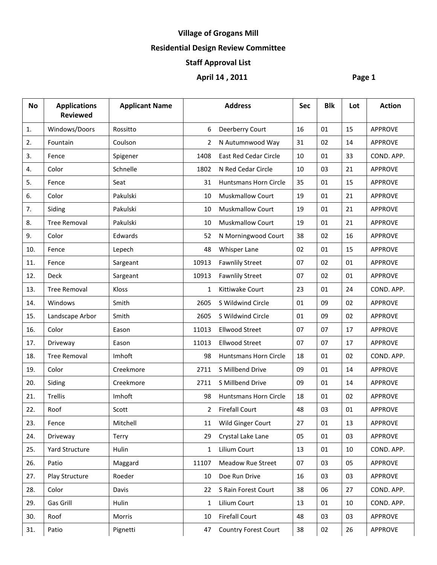# **Village of Grogans Mill**

### **Residential Design Review Committee**

### **Staff Approval List**

## **April 14 , 2011 Page 1**

| <b>No</b> | <b>Applications</b><br><b>Reviewed</b> | <b>Applicant Name</b> |                | <b>Address</b>               | <b>Sec</b> | <b>Blk</b> | Lot | <b>Action</b>  |
|-----------|----------------------------------------|-----------------------|----------------|------------------------------|------------|------------|-----|----------------|
| 1.        | Windows/Doors                          | Rossitto              | 6              | Deerberry Court              | 16         | 01         | 15  | APPROVE        |
| 2.        | Fountain                               | Coulson               | 2              | N Autumnwood Way             | 31         | 02         | 14  | <b>APPROVE</b> |
| 3.        | Fence                                  | Spigener              | 1408           | East Red Cedar Circle        | 10         | 01         | 33  | COND. APP.     |
| 4.        | Color                                  | Schnelle              | 1802           | N Red Cedar Circle           | 10         | 03         | 21  | APPROVE        |
| 5.        | Fence                                  | Seat                  | 31             | <b>Huntsmans Horn Circle</b> | 35         | 01         | 15  | <b>APPROVE</b> |
| 6.        | Color                                  | Pakulski              | 10             | <b>Muskmallow Court</b>      | 19         | 01         | 21  | <b>APPROVE</b> |
| 7.        | Siding                                 | Pakulski              | 10             | Muskmallow Court             | 19         | 01         | 21  | <b>APPROVE</b> |
| 8.        | <b>Tree Removal</b>                    | Pakulski              | 10             | <b>Muskmallow Court</b>      | 19         | 01         | 21  | <b>APPROVE</b> |
| 9.        | Color                                  | Edwards               | 52             | N Morningwood Court          | 38         | 02         | 16  | <b>APPROVE</b> |
| 10.       | Fence                                  | Lepech                | 48             | Whisper Lane                 | 02         | 01         | 15  | <b>APPROVE</b> |
| 11.       | Fence                                  | Sargeant              | 10913          | <b>Fawnlily Street</b>       | 07         | 02         | 01  | <b>APPROVE</b> |
| 12.       | Deck                                   | Sargeant              | 10913          | <b>Fawnlily Street</b>       | 07         | 02         | 01  | APPROVE        |
| 13.       | <b>Tree Removal</b>                    | Kloss                 | $\mathbf{1}$   | Kittiwake Court              | 23         | 01         | 24  | COND. APP.     |
| 14.       | Windows                                | Smith                 | 2605           | S Wildwind Circle            | 01         | 09         | 02  | <b>APPROVE</b> |
| 15.       | Landscape Arbor                        | Smith                 | 2605           | S Wildwind Circle            | 01         | 09         | 02  | <b>APPROVE</b> |
| 16.       | Color                                  | Eason                 | 11013          | <b>Ellwood Street</b>        | 07         | 07         | 17  | <b>APPROVE</b> |
| 17.       | Driveway                               | Eason                 | 11013          | <b>Ellwood Street</b>        | 07         | 07         | 17  | <b>APPROVE</b> |
| 18.       | <b>Tree Removal</b>                    | Imhoft                | 98             | <b>Huntsmans Horn Circle</b> | 18         | 01         | 02  | COND. APP.     |
| 19.       | Color                                  | Creekmore             | 2711           | S Millbend Drive             | 09         | 01         | 14  | <b>APPROVE</b> |
| 20.       | Siding                                 | Creekmore             | 2711           | S Millbend Drive             | 09         | 01         | 14  | <b>APPROVE</b> |
| 21.       | Trellis                                | Imhoft                | 98             | <b>Huntsmans Horn Circle</b> | 18         | 01         | 02  | APPROVE        |
| 22.       | Roof                                   | Scott                 | $\overline{2}$ | <b>Firefall Court</b>        | 48         | 03         | 01  | <b>APPROVE</b> |
| 23.       | Fence                                  | Mitchell              | 11             | Wild Ginger Court            | 27         | 01         | 13  | <b>APPROVE</b> |
| 24.       | Driveway                               | Terry                 | 29             | Crystal Lake Lane            | 05         | 01         | 03  | <b>APPROVE</b> |
| 25.       | Yard Structure                         | Hulin                 | $\mathbf{1}$   | Lilium Court                 | 13         | 01         | 10  | COND. APP.     |
| 26.       | Patio                                  | Maggard               | 11107          | Meadow Rue Street            | 07         | 03         | 05  | <b>APPROVE</b> |
| 27.       | Play Structure                         | Roeder                | 10             | Doe Run Drive                | 16         | 03         | 03  | APPROVE        |
| 28.       | Color                                  | Davis                 | 22             | S Rain Forest Court          | 38         | 06         | 27  | COND. APP.     |
| 29.       | Gas Grill                              | Hulin                 | 1              | Lilium Court                 | 13         | 01         | 10  | COND. APP.     |
| 30.       | Roof                                   | Morris                | 10             | <b>Firefall Court</b>        | 48         | 03         | 03  | APPROVE        |
| 31.       | Patio                                  | Pignetti              | 47             | <b>Country Forest Court</b>  | 38         | 02         | 26  | <b>APPROVE</b> |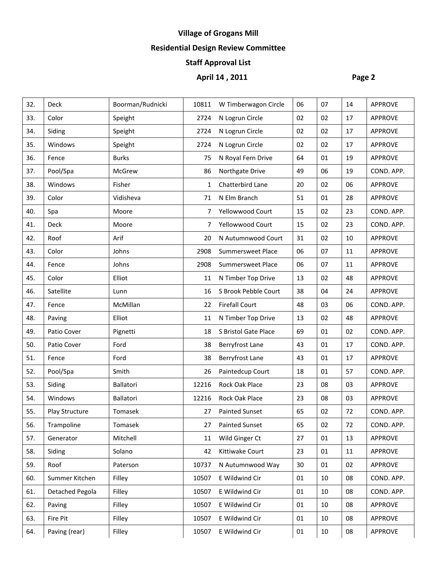# **Village of Grogans Mill**

### **Residential Design Review Committee**

### **Staff Approval List**

# **April 14 , 2011 Page 2**

| 32. | Deck            | Boorman/Rudnicki | 10811        | W Timberwagon Circle  | 06     | 07 | 14     | <b>APPROVE</b> |
|-----|-----------------|------------------|--------------|-----------------------|--------|----|--------|----------------|
| 33. | Color           | Speight          | 2724         | N Logrun Circle       | 02     | 02 | 17     | <b>APPROVE</b> |
| 34. | Siding          | Speight          | 2724         | N Logrun Circle       | 02     | 02 | 17     | <b>APPROVE</b> |
| 35. | Windows         | Speight          | 2724         | N Logrun Circle       | 02     | 02 | 17     | <b>APPROVE</b> |
| 36. | Fence           | <b>Burks</b>     | 75           | N Royal Fern Drive    | 64     | 01 | 19     | <b>APPROVE</b> |
| 37. | Pool/Spa        | McGrew           | 86           | Northgate Drive       | 49     | 06 | 19     | COND. APP.     |
| 38. | Windows         | Fisher           | $\mathbf{1}$ | Chatterbird Lane      | 20     | 02 | 06     | <b>APPROVE</b> |
| 39. | Color           | Vidisheva        | 71           | N Elm Branch          | 51     | 01 | 28     | <b>APPROVE</b> |
| 40. | Spa             | Moore            | 7            | Yellowwood Court      | 15     | 02 | 23     | COND. APP.     |
| 41. | Deck            | Moore            | 7            | Yellowwood Court      | 15     | 02 | 23     | COND. APP.     |
| 42. | Roof            | Arif             | 20           | N Autumnwood Court    | 31     | 02 | 10     | <b>APPROVE</b> |
| 43. | Color           | Johns            | 2908         | Summersweet Place     | 06     | 07 | 11     | <b>APPROVE</b> |
| 44. | Fence           | Johns            | 2908         | Summersweet Place     | 06     | 07 | 11     | <b>APPROVE</b> |
| 45. | Color           | Elliot           | 11           | N Timber Top Drive    | 13     | 02 | 48     | <b>APPROVE</b> |
| 46. | Satellite       | Lunn             | 16           | S Brook Pebble Court  | 38     | 04 | 24     | <b>APPROVE</b> |
| 47. | Fence           | McMillan         | 22           | <b>Firefall Court</b> | 48     | 03 | 06     | COND. APP.     |
| 48. | Paving          | Elliot           | 11           | N Timber Top Drive    | 13     | 02 | 48     | <b>APPROVE</b> |
| 49. | Patio Cover     | Pignetti         | 18           | S Bristol Gate Place  | 69     | 01 | 02     | COND. APP.     |
| 50. | Patio Cover     | Ford             | 38           | Berryfrost Lane       | 43     | 01 | 17     | COND. APP.     |
| 51. | Fence           | Ford             | 38           | Berryfrost Lane       | 43     | 01 | 17     | <b>APPROVE</b> |
| 52. | Pool/Spa        | Smith            | 26           | Paintedcup Court      | 18     | 01 | 57     | COND. APP.     |
| 53. | Siding          | Ballatori        | 12216        | <b>Rock Oak Place</b> | 23     | 08 | 03     | <b>APPROVE</b> |
| 54. | Windows         | Ballatori        | 12216        | Rock Oak Place        | 23     | 08 | 03     | <b>APPROVE</b> |
| 55. | Play Structure  | Tomasek          | 27           | <b>Painted Sunset</b> | 65     | 02 | 72     | COND. APP.     |
| 56. | Trampoline      | Tomasek          | 27           | <b>Painted Sunset</b> | 65     | 02 | 72     | COND. APP.     |
| 57. | Generator       | Mitchell         | 11           | Wild Ginger Ct        | 27     | 01 | 13     | <b>APPROVE</b> |
| 58. | Siding          | Solano           | 42           | Kittiwake Court       | 23     | 01 | 11     | APPROVE        |
| 59. | Roof            | Paterson         | 10737        | N Autumnwood Way      | 30     | 01 | 02     | <b>APPROVE</b> |
| 60. | Summer Kitchen  | Filley           | 10507        | E Wildwind Cir        | 01     | 10 | 08     | COND. APP.     |
| 61. | Detached Pegola | Filley           | 10507        | E Wildwind Cir        | 01     | 10 | 08     | COND. APP.     |
| 62. | Paving          | Filley           | 10507        | E Wildwind Cir        | 01     | 10 | 08     | <b>APPROVE</b> |
| 63. | Fire Pit        | Filley           | 10507        | E Wildwind Cir        | 01     | 10 | 08     | <b>APPROVE</b> |
| 64. | Paving (rear)   | Filley           | 10507        | E Wildwind Cir        | $01\,$ | 10 | $08\,$ | <b>APPROVE</b> |